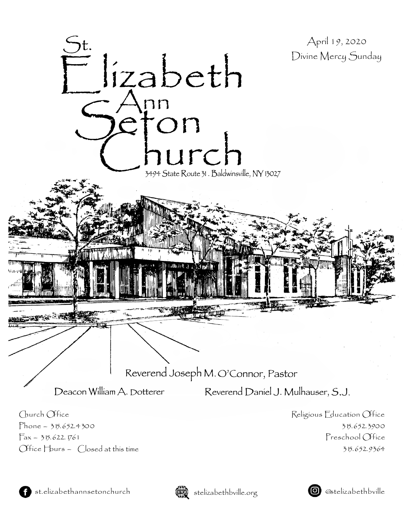



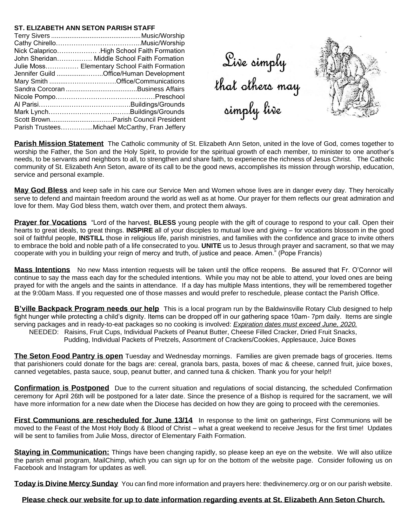### **ST. ELIZABETH ANN SETON PARISH STAFF**

| Nick Calaprico High School Faith Formation    |
|-----------------------------------------------|
| John Sheridan Middle School Faith Formation   |
| Julie Moss Elementary School Faith Formation  |
| Jennifer Guild Office/Human Development       |
|                                               |
|                                               |
|                                               |
|                                               |
|                                               |
|                                               |
| Parish TrusteesMichael McCarthy, Fran Jeffery |

Sive simply<br>that others may<br>simply live



**Parish Mission Statement** The Catholic community of St. Elizabeth Ann Seton, united in the love of God, comes together to worship the Father, the Son and the Holy Spirit, to provide for the spiritual growth of each member, to minister to one another's needs, to be servants and neighbors to all, to strengthen and share faith, to experience the richness of Jesus Christ. The Catholic community of St. Elizabeth Ann Seton, aware of its call to be the good news, accomplishes its mission through worship, education, service and personal example.

**May God Bless** and keep safe in his care our Service Men and Women whose lives are in danger every day. They heroically serve to defend and maintain freedom around the world as well as at home. Our prayer for them reflects our great admiration and love for them. May God bless them, watch over them, and protect them always.

**Prayer for Vocations** "Lord of the harvest, **BLESS** young people with the gift of courage to respond to your call. Open their hearts to great ideals, to great things. **INSPIRE** all of your disciples to mutual love and giving – for vocations blossom in the good soil of faithful people, **INSTILL** those in religious life, parish ministries, and families with the confidence and grace to invite others to embrace the bold and noble path of a life consecrated to you. **UNITE** us to Jesus through prayer and sacrament, so that we may cooperate with you in building your reign of mercy and truth, of justice and peace. Amen." (Pope Francis)

**Mass Intentions** No new Mass intention requests will be taken until the office reopens. Be assured that Fr. O'Connor will continue to say the mass each day for the scheduled intentions. While you may not be able to attend, your loved ones are being prayed for with the angels and the saints in attendance. If a day has multiple Mass intentions, they will be remembered together at the 9:00am Mass. If you requested one of those masses and would prefer to reschedule, please contact the Parish Office.

**B'ville Backpack Program needs our help** This is a local program run by the Baldwinsville Rotary Club designed to help fight hunger while protecting a child's dignity. Items can be dropped off in our gathering space 10am- 7pm daily. Items are single serving packages and in ready-to-eat packages so no cooking is involved: *Expiration dates must exceed June, 2020.*

 NEEDED: Raisins, Fruit Cups, Individual Packets of Peanut Butter, Cheese Filled Cracker, Dried Fruit Snacks, Pudding, Individual Packets of Pretzels, Assortment of Crackers/Cookies, Applesauce, Juice Boxes

**The Seton Food Pantry is open** Tuesday and Wednesday mornings. Families are given premade bags of groceries. Items that parishioners could donate for the bags are: cereal, granola bars, pasta, boxes of mac & cheese, canned fruit, juice boxes, canned vegetables, pasta sauce, soup, peanut butter, and canned tuna & chicken. Thank you for your help!!

**Confirmation is Postponed** Due to the current situation and regulations of social distancing, the scheduled Confirmation ceremony for April 26th will be postponed for a later date. Since the presence of a Bishop is required for the sacrament, we will have more information for a new date when the Diocese has decided on how they are going to proceed with the ceremonies.

**First Communions are rescheduled for June 13/14** In response to the limit on gatherings, First Communions will be moved to the Feast of the Most Holy Body & Blood of Christ – what a great weekend to receive Jesus for the first time! Updates will be sent to families from Julie Moss, director of Elementary Faith Formation.

**Staying in Communication:** Things have been changing rapidly, so please keep an eye on the website. We will also utilize the parish email program, MailChimp, which you can sign up for on the bottom of the website page. Consider following us on Facebook and Instagram for updates as well.

**Today is Divine Mercy Sunday** You can find more information and prayers here: thedivinemercy.org or on our parish website.

## **Please check our website for up to date information regarding events at St. Elizabeth Ann Seton Church.**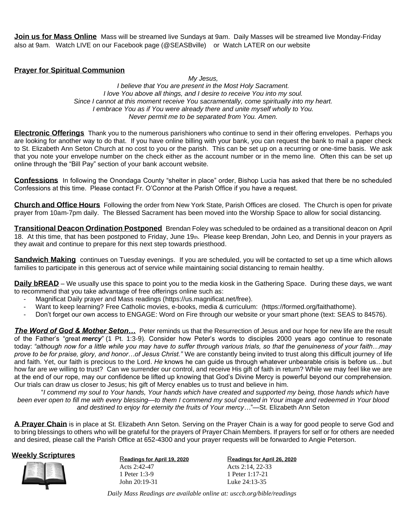**Join us for Mass Online** Mass will be streamed live Sundays at 9am. Daily Masses will be streamed live Monday-Friday also at 9am. Watch LIVE on our Facebook page (@SEASBville) or Watch LATER on our website

## **Prayer for Spiritual Communion**

*My Jesus, I believe that You are present in the Most Holy Sacrament. I love You above all things, and I desire to receive You into my soul. Since I cannot at this moment* r*eceive You sacramentally, come spiritually into my heart. I embrace You as if You were already there and unite myself wholly to You. Never permit me to be separated from You. Amen.*

**Electronic Offerings** Thank you to the numerous parishioners who continue to send in their offering envelopes. Perhaps you are looking for another way to do that. If you have online billing with your bank, you can request the bank to mail a paper check to St. Elizabeth Ann Seton Church at no cost to you or the parish. This can be set up on a recurring or one-time basis. We ask that you note your envelope number on the check either as the account number or in the memo line. Often this can be set up online through the "Bill Pay" section of your bank account website.

**Confessions** In following the Onondaga County "shelter in place" order, Bishop Lucia has asked that there be no scheduled Confessions at this time. Please contact Fr. O'Connor at the Parish Office if you have a request.

**Church and Office Hours** Following the order from New York State, Parish Offices are closed. The Church is open for private prayer from 10am-7pm daily. The Blessed Sacrament has been moved into the Worship Space to allow for social distancing.

**Transitional Deacon Ordination Postponed** Brendan Foley was scheduled to be ordained as a transitional deacon on April 18. At this time, that has been postponed to Friday, June 19th. Please keep Brendan, John Leo, and Dennis in your prayers as they await and continue to prepare for this next step towards priesthood.

**Sandwich Making** continues on Tuesday evenings. If you are scheduled, you will be contacted to set up a time which allows families to participate in this generous act of service while maintaining social distancing to remain healthy.

**Daily bREAD** – We usually use this space to point you to the media kiosk in the Gathering Space. During these days, we want to recommend that you take advantage of free offerings online such as:

- Magnificat Daily prayer and Mass readings (https://us.magnificat.net/free).
- Want to keep learning? Free Catholic movies, e-books, media & curriculum: (https://formed.org/faithathome).
- Don't forget our own access to ENGAGE: Word on Fire through our website or your smart phone (text: SEAS to 84576).

*The Word of God & Mother Seton…* Peter reminds us that the Resurrection of Jesus and our hope for new life are the result of the Father's "great *mercy*" (1 Pt. 1:3-9). Consider how Peter's words to disciples 2000 years ago continue to resonate today: *"although now for a little while you may have to suffer through various trials, so that the genuineness of your faith…may prove to be for praise, glory, and honor…of Jesus Christ."* We are constantly being invited to trust along this difficult journey of life and faith. Yet, our faith is precious to the Lord. *He* knows he can guide us through whatever unbearable crisis is before us…but how far are *we* willing to trust? Can we surrender our control, and receive His gift of faith in return? While we may feel like we are at the end of our rope, may our confidence be lifted up knowing that God's Divine Mercy is powerful beyond our comprehension. Our trials can draw us closer to Jesus; his gift of Mercy enables us to trust and believe in him.

"I commend my soul to Your hands, Your hands which have created and supported my being, those hands which have been ever open to fill me with every blessing—to them I commend my soul created in Your image and redeemed in Your blood *and destined to enjoy for eternity the fruits of Your mercy…*"—St. Elizabeth Ann Seton

**A Prayer Chain** is in place at St. Elizabeth Ann Seton. Serving on the Prayer Chain is a way for good people to serve God and to bring blessings to others who will be grateful for the prayers of Prayer Chain Members. If prayers for self or for others are needed and desired, please call the Parish Office at 652-4300 and your prayer requests will be forwarded to Angie Peterson.



**Weekly Scriptures**<br>Readings for April 19, 2020 Acts 2:42-47 1 Peter 1:3-9 John 20:19-31

R**eadings for April 26, 2020** Acts 2:14, 22-33 1 Peter 1:17-21 Luke 24:13-35

*Daily Mass Readings are available online at: usccb.org/bible/readings*